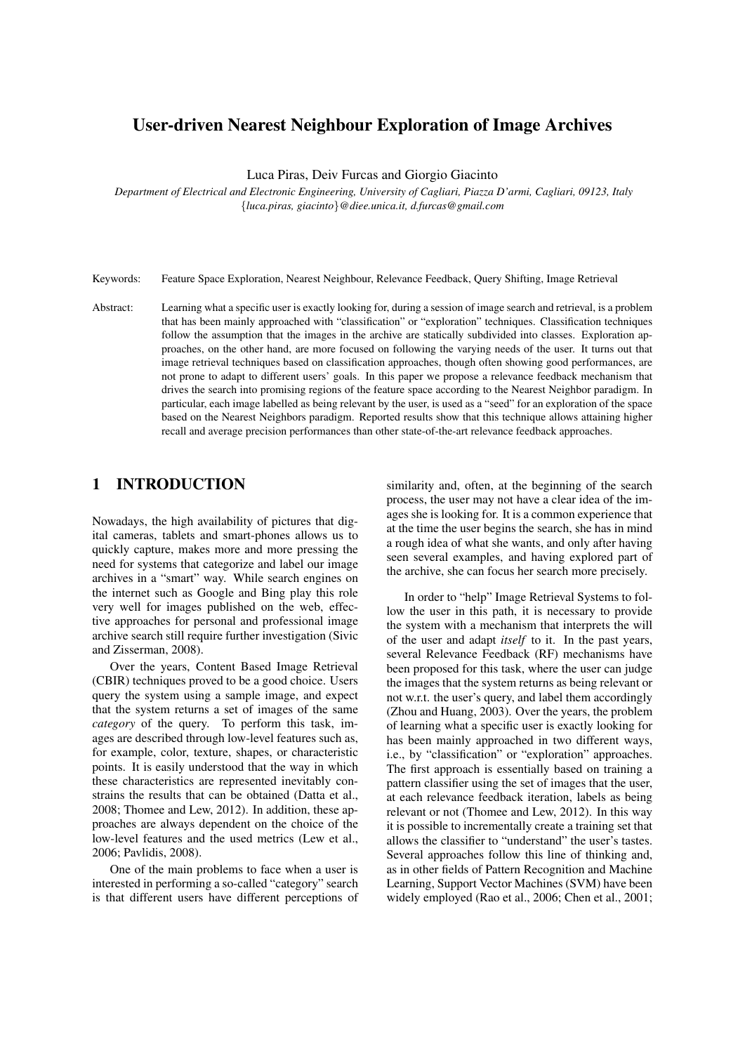# User-driven Nearest Neighbour Exploration of Image Archives

Luca Piras, Deiv Furcas and Giorgio Giacinto

*Department of Electrical and Electronic Engineering, University of Cagliari, Piazza D'armi, Cagliari, 09123, Italy* {*luca.piras, giacinto*}*@diee.unica.it, d.furcas@gmail.com*

Keywords: Feature Space Exploration, Nearest Neighbour, Relevance Feedback, Query Shifting, Image Retrieval

Abstract: Learning what a specific user is exactly looking for, during a session of image search and retrieval, is a problem that has been mainly approached with "classification" or "exploration" techniques. Classification techniques follow the assumption that the images in the archive are statically subdivided into classes. Exploration approaches, on the other hand, are more focused on following the varying needs of the user. It turns out that image retrieval techniques based on classification approaches, though often showing good performances, are not prone to adapt to different users' goals. In this paper we propose a relevance feedback mechanism that drives the search into promising regions of the feature space according to the Nearest Neighbor paradigm. In particular, each image labelled as being relevant by the user, is used as a "seed" for an exploration of the space based on the Nearest Neighbors paradigm. Reported results show that this technique allows attaining higher recall and average precision performances than other state-of-the-art relevance feedback approaches.

## 1 INTRODUCTION

Nowadays, the high availability of pictures that digital cameras, tablets and smart-phones allows us to quickly capture, makes more and more pressing the need for systems that categorize and label our image archives in a "smart" way. While search engines on the internet such as Google and Bing play this role very well for images published on the web, effective approaches for personal and professional image archive search still require further investigation (Sivic and Zisserman, 2008).

Over the years, Content Based Image Retrieval (CBIR) techniques proved to be a good choice. Users query the system using a sample image, and expect that the system returns a set of images of the same *category* of the query. To perform this task, images are described through low-level features such as, for example, color, texture, shapes, or characteristic points. It is easily understood that the way in which these characteristics are represented inevitably constrains the results that can be obtained (Datta et al., 2008; Thomee and Lew, 2012). In addition, these approaches are always dependent on the choice of the low-level features and the used metrics (Lew et al., 2006; Pavlidis, 2008).

One of the main problems to face when a user is interested in performing a so-called "category" search is that different users have different perceptions of

similarity and, often, at the beginning of the search process, the user may not have a clear idea of the images she is looking for. It is a common experience that at the time the user begins the search, she has in mind a rough idea of what she wants, and only after having seen several examples, and having explored part of the archive, she can focus her search more precisely.

In order to "help" Image Retrieval Systems to follow the user in this path, it is necessary to provide the system with a mechanism that interprets the will of the user and adapt *itself* to it. In the past years, several Relevance Feedback (RF) mechanisms have been proposed for this task, where the user can judge the images that the system returns as being relevant or not w.r.t. the user's query, and label them accordingly (Zhou and Huang, 2003). Over the years, the problem of learning what a specific user is exactly looking for has been mainly approached in two different ways, i.e., by "classification" or "exploration" approaches. The first approach is essentially based on training a pattern classifier using the set of images that the user, at each relevance feedback iteration, labels as being relevant or not (Thomee and Lew, 2012). In this way it is possible to incrementally create a training set that allows the classifier to "understand" the user's tastes. Several approaches follow this line of thinking and, as in other fields of Pattern Recognition and Machine Learning, Support Vector Machines (SVM) have been widely employed (Rao et al., 2006; Chen et al., 2001;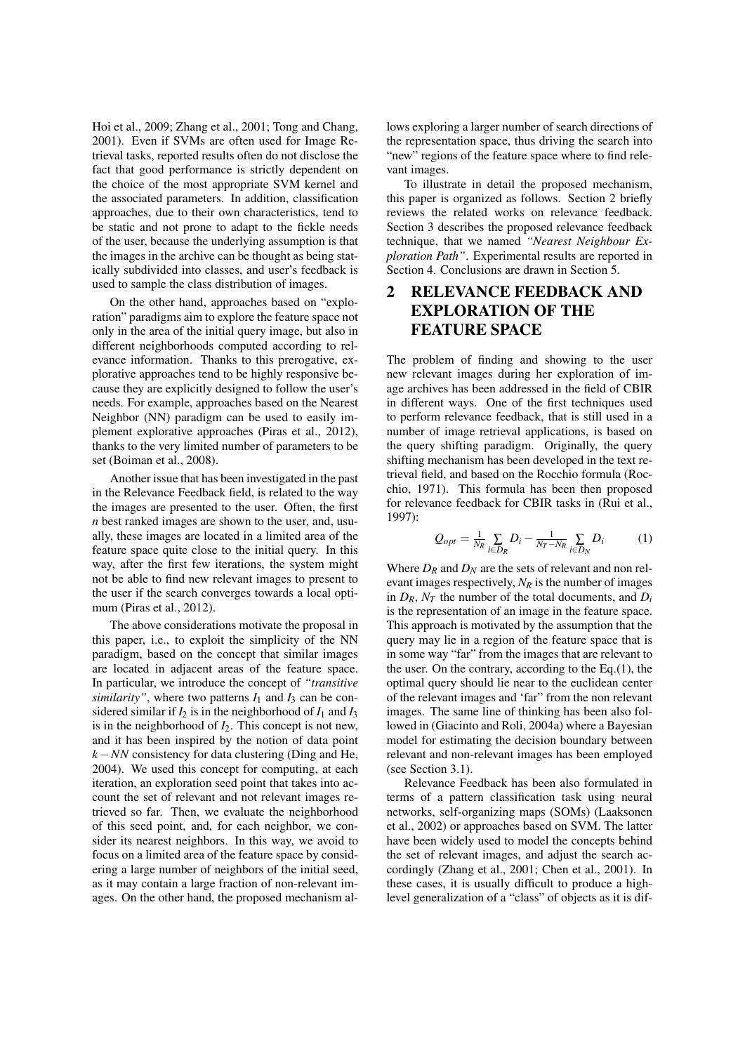Hoi et al., 2009; Zhang et al., 2001; Tong and Chang, 2001). Even if SVMs are often used for Image Retrieval tasks, reported results often do not disclose the fact that good performance is strictly dependent on the choice of the most appropriate SVM kernel and the associated parameters. In addition, classification approaches, due to their own characteristics, tend to be static and not prone to adapt to the fickle needs of the user, because the underlying assumption is that the images in the archive can be thought as being statically subdivided into classes, and user's feedback is used to sample the class distribution of images.

On the other hand, approaches based on "exploration" paradigms aim to explore the feature space not only in the area of the initial query image, but also in different neighborhoods computed according to relevance information. Thanks to this prerogative, explorative approaches tend to be highly responsive because they are explicitly designed to follow the user's needs. For example, approaches based on the Nearest Neighbor (NN) paradigm can be used to easily implement explorative approaches (Piras et al., 2012), thanks to the very limited number of parameters to be set (Boiman et al., 2008).

Another issue that has been investigated in the past in the Relevance Feedback field, is related to the way the images are presented to the user. Often, the first *n* best ranked images are shown to the user, and, usually, these images are located in a limited area of the feature space quite close to the initial query. In this way, after the first few iterations, the system might not be able to find new relevant images to present to the user if the search converges towards a local optimum (Piras et al., 2012).

The above considerations motivate the proposal in this paper, i.e., to exploit the simplicity of the NN paradigm, based on the concept that similar images are located in adjacent areas of the feature space. In particular, we introduce the concept of *"transitive similarity"*, where two patterns  $I_1$  and  $I_3$  can be considered similar if  $I_2$  is in the neighborhood of  $I_1$  and  $I_3$ is in the neighborhood of  $I_2$ . This concept is not new, and it has been inspired by the notion of data point  $k - NN$  consistency for data clustering (Ding and He, 2004). We used this concept for computing, at each iteration, an exploration seed point that takes into account the set of relevant and not relevant images retrieved so far. Then, we evaluate the neighborhood of this seed point, and, for each neighbor, we consider its nearest neighbors. In this way, we avoid to focus on a limited area of the feature space by considering a large number of neighbors of the initial seed, as it may contain a large fraction of non-relevant images. On the other hand, the proposed mechanism allows exploring a larger number of search directions of the representation space, thus driving the search into "new" regions of the feature space where to find relevant images.

To illustrate in detail the proposed mechanism, this paper is organized as follows. Section 2 briefly reviews the related works on relevance feedback. Section 3 describes the proposed relevance feedback technique, that we named *"Nearest Neighbour Exploration Path"*. Experimental results are reported in Section 4. Conclusions are drawn in Section 5.

## 2 RELEVANCE FEEDBACK AND EXPLORATION OF THE FEATURE SPACE

The problem of finding and showing to the user new relevant images during her exploration of image archives has been addressed in the field of CBIR in different ways. One of the first techniques used to perform relevance feedback, that is still used in a number of image retrieval applications, is based on the query shifting paradigm. Originally, the query shifting mechanism has been developed in the text retrieval field, and based on the Rocchio formula (Rocchio, 1971). This formula has been then proposed for relevance feedback for CBIR tasks in (Rui et al., 1997):

$$
Q_{opt} = \frac{1}{N_R} \sum_{i \in D_R} D_i - \frac{1}{N_T - N_R} \sum_{i \in D_N} D_i \tag{1}
$$

Where  $D_R$  and  $D_N$  are the sets of relevant and non relevant images respectively, *N<sup>R</sup>* is the number of images in  $D_R$ ,  $N_T$  the number of the total documents, and  $D_i$ is the representation of an image in the feature space. This approach is motivated by the assumption that the query may lie in a region of the feature space that is in some way "far" from the images that are relevant to the user. On the contrary, according to the  $Eq.(1)$ , the optimal query should lie near to the euclidean center of the relevant images and 'far" from the non relevant images. The same line of thinking has been also followed in (Giacinto and Roli, 2004a) where a Bayesian model for estimating the decision boundary between relevant and non-relevant images has been employed (see Section 3.1).

Relevance Feedback has been also formulated in terms of a pattern classification task using neural networks, self-organizing maps (SOMs) (Laaksonen et al., 2002) or approaches based on SVM. The latter have been widely used to model the concepts behind the set of relevant images, and adjust the search accordingly (Zhang et al., 2001; Chen et al., 2001). In these cases, it is usually difficult to produce a highlevel generalization of a "class" of objects as it is dif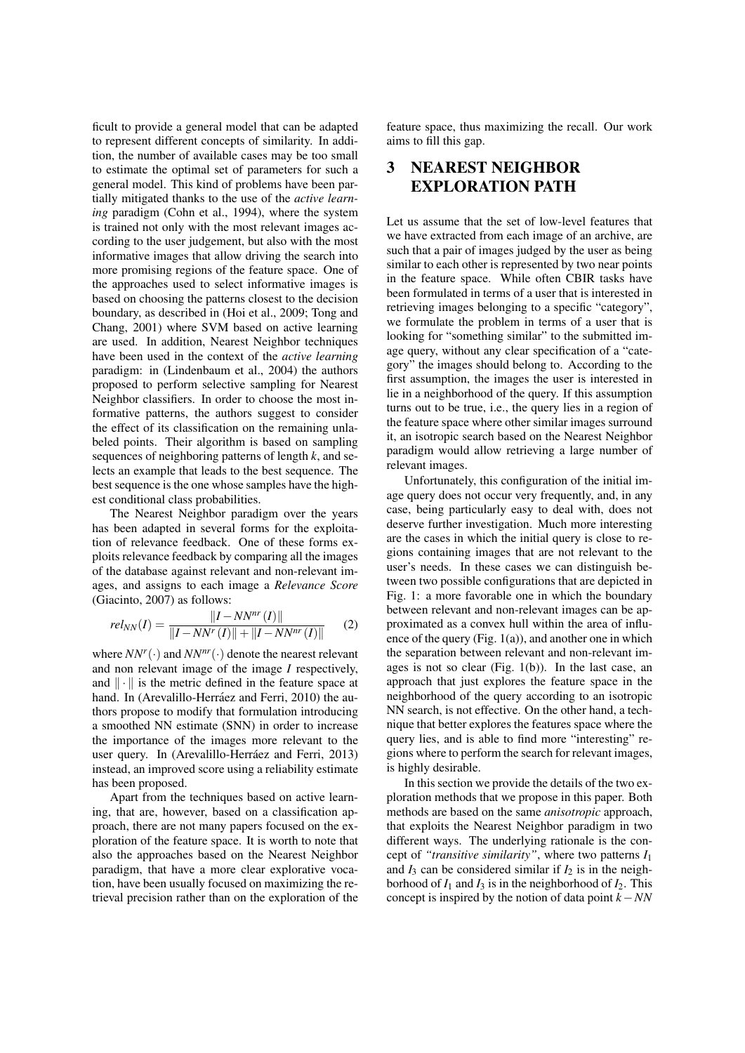ficult to provide a general model that can be adapted to represent different concepts of similarity. In addition, the number of available cases may be too small to estimate the optimal set of parameters for such a general model. This kind of problems have been partially mitigated thanks to the use of the *active learning* paradigm (Cohn et al., 1994), where the system is trained not only with the most relevant images according to the user judgement, but also with the most informative images that allow driving the search into more promising regions of the feature space. One of the approaches used to select informative images is based on choosing the patterns closest to the decision boundary, as described in (Hoi et al., 2009; Tong and Chang, 2001) where SVM based on active learning are used. In addition, Nearest Neighbor techniques have been used in the context of the *active learning* paradigm: in (Lindenbaum et al., 2004) the authors proposed to perform selective sampling for Nearest Neighbor classifiers. In order to choose the most informative patterns, the authors suggest to consider the effect of its classification on the remaining unlabeled points. Their algorithm is based on sampling sequences of neighboring patterns of length *k*, and selects an example that leads to the best sequence. The best sequence is the one whose samples have the highest conditional class probabilities.

The Nearest Neighbor paradigm over the years has been adapted in several forms for the exploitation of relevance feedback. One of these forms exploits relevance feedback by comparing all the images of the database against relevant and non-relevant images, and assigns to each image a *Relevance Score* (Giacinto, 2007) as follows:

$$
rel_{NN}(I) = \frac{||I - NN^{nr}(I)||}{||I - NN^{r}(I)|| + ||I - NN^{nr}(I)||}
$$
 (2)

where  $NN^r(\cdot)$  and  $NN^{nr}(\cdot)$  denote the nearest relevant and non relevant image of the image *I* respectively, and  $\|\cdot\|$  is the metric defined in the feature space at hand. In (Arevalillo-Herráez and Ferri, 2010) the authors propose to modify that formulation introducing a smoothed NN estimate (SNN) in order to increase the importance of the images more relevant to the user query. In (Arevalillo-Herráez and Ferri, 2013) instead, an improved score using a reliability estimate has been proposed.

Apart from the techniques based on active learning, that are, however, based on a classification approach, there are not many papers focused on the exploration of the feature space. It is worth to note that also the approaches based on the Nearest Neighbor paradigm, that have a more clear explorative vocation, have been usually focused on maximizing the retrieval precision rather than on the exploration of the feature space, thus maximizing the recall. Our work aims to fill this gap.

## 3 NEAREST NEIGHBOR EXPLORATION PATH

Let us assume that the set of low-level features that we have extracted from each image of an archive, are such that a pair of images judged by the user as being similar to each other is represented by two near points in the feature space. While often CBIR tasks have been formulated in terms of a user that is interested in retrieving images belonging to a specific "category", we formulate the problem in terms of a user that is looking for "something similar" to the submitted image query, without any clear specification of a "category" the images should belong to. According to the first assumption, the images the user is interested in lie in a neighborhood of the query. If this assumption turns out to be true, i.e., the query lies in a region of the feature space where other similar images surround it, an isotropic search based on the Nearest Neighbor paradigm would allow retrieving a large number of relevant images.

Unfortunately, this configuration of the initial image query does not occur very frequently, and, in any case, being particularly easy to deal with, does not deserve further investigation. Much more interesting are the cases in which the initial query is close to regions containing images that are not relevant to the user's needs. In these cases we can distinguish between two possible configurations that are depicted in Fig. 1: a more favorable one in which the boundary between relevant and non-relevant images can be approximated as a convex hull within the area of influence of the query (Fig.  $1(a)$ ), and another one in which the separation between relevant and non-relevant images is not so clear (Fig.  $1(b)$ ). In the last case, an approach that just explores the feature space in the neighborhood of the query according to an isotropic NN search, is not effective. On the other hand, a technique that better explores the features space where the query lies, and is able to find more "interesting" regions where to perform the search for relevant images, is highly desirable.

In this section we provide the details of the two exploration methods that we propose in this paper. Both methods are based on the same *anisotropic* approach, that exploits the Nearest Neighbor paradigm in two different ways. The underlying rationale is the concept of *"transitive similarity"*, where two patterns *I*<sup>1</sup> and  $I_3$  can be considered similar if  $I_2$  is in the neighborhood of  $I_1$  and  $I_3$  is in the neighborhood of  $I_2$ . This concept is inspired by the notion of data point *k*−*NN*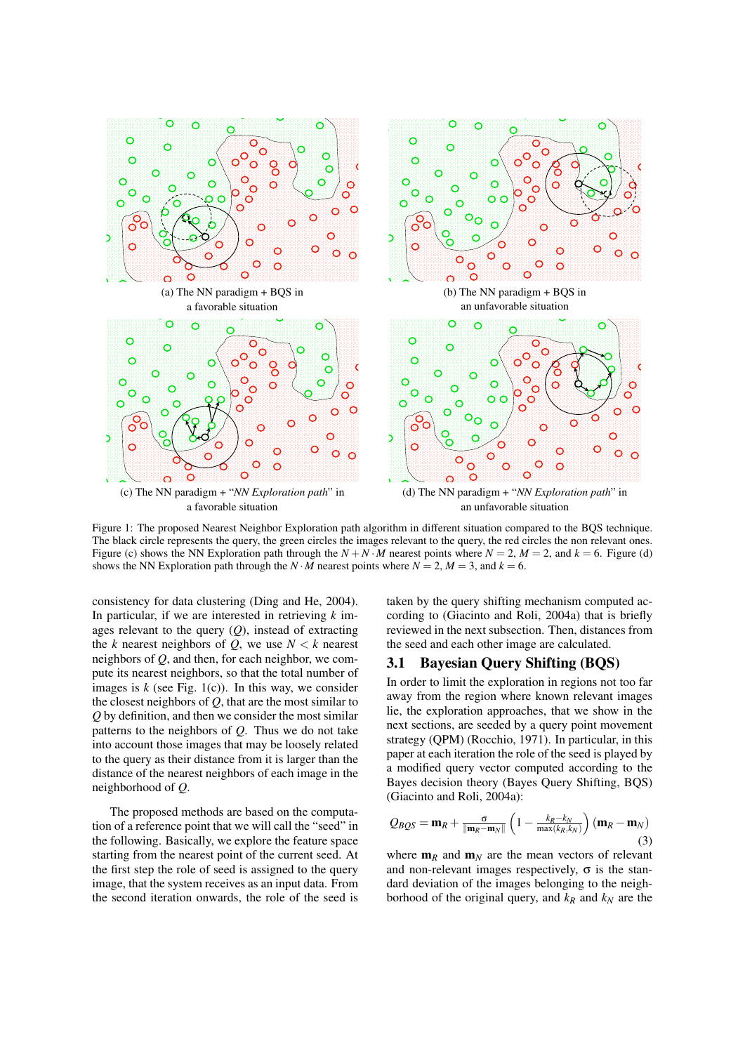

(a) The NN paradigm + BQS in a favorable situation



(c) The NN paradigm + "*NN Exploration path*" in a favorable situation



(b) The NN paradigm + BQS in an unfavorable situation



(d) The NN paradigm + "*NN Exploration path*" in an unfavorable situation

Figure 1: The proposed Nearest Neighbor Exploration path algorithm in different situation compared to the BQS technique. The black circle represents the query, the green circles the images relevant to the query, the red circles the non relevant ones. Figure (c) shows the NN Exploration path through the  $N + N \cdot M$  nearest points where  $N = 2$ ,  $M = 2$ , and  $k = 6$ . Figure (d) shows the NN Exploration path through the  $N \cdot \overline{M}$  nearest points where  $N = 2$ ,  $M = 3$ , and  $k = 6$ .

consistency for data clustering (Ding and He, 2004). In particular, if we are interested in retrieving *k* images relevant to the query (*Q*), instead of extracting the *k* nearest neighbors of *Q*, we use  $N < k$  nearest neighbors of *Q*, and then, for each neighbor, we compute its nearest neighbors, so that the total number of images is  $k$  (see Fig. 1(c)). In this way, we consider the closest neighbors of *Q*, that are the most similar to *Q* by definition, and then we consider the most similar patterns to the neighbors of *Q*. Thus we do not take into account those images that may be loosely related to the query as their distance from it is larger than the distance of the nearest neighbors of each image in the neighborhood of *Q*.

The proposed methods are based on the computation of a reference point that we will call the "seed" in the following. Basically, we explore the feature space starting from the nearest point of the current seed. At the first step the role of seed is assigned to the query image, that the system receives as an input data. From the second iteration onwards, the role of the seed is

taken by the query shifting mechanism computed according to (Giacinto and Roli, 2004a) that is briefly reviewed in the next subsection. Then, distances from the seed and each other image are calculated.

#### 3.1 Bayesian Query Shifting (BQS)

In order to limit the exploration in regions not too far away from the region where known relevant images lie, the exploration approaches, that we show in the next sections, are seeded by a query point movement strategy (QPM) (Rocchio, 1971). In particular, in this paper at each iteration the role of the seed is played by a modified query vector computed according to the Bayes decision theory (Bayes Query Shifting, BQS) (Giacinto and Roli, 2004a):

$$
Q_{BQS} = \mathbf{m}_R + \frac{\sigma}{\|\mathbf{m}_R - \mathbf{m}_N\|} \left(1 - \frac{k_R - k_N}{\max(k_R, k_N)}\right) (\mathbf{m}_R - \mathbf{m}_N)
$$
\n(3)

where  $\mathbf{m}_R$  and  $\mathbf{m}_N$  are the mean vectors of relevant and non-relevant images respectively,  $\sigma$  is the standard deviation of the images belonging to the neighborhood of the original query, and  $k_R$  and  $k_N$  are the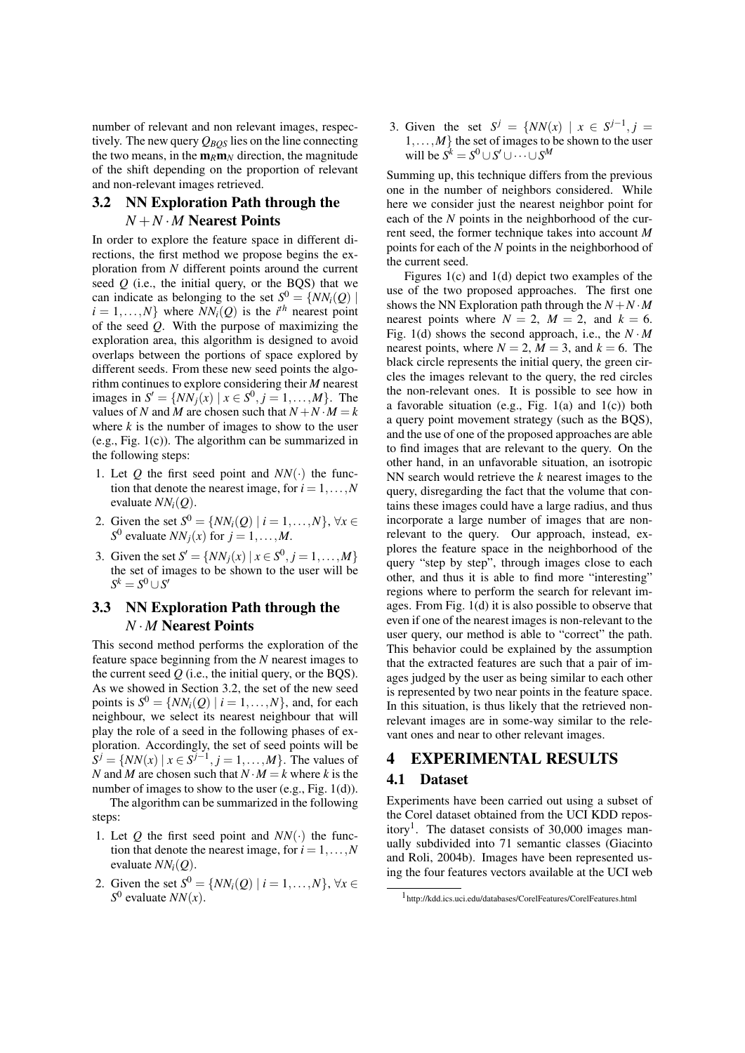number of relevant and non relevant images, respectively. The new query  $Q_{BOS}$  lies on the line connecting the two means, in the  $m_R m_N$  direction, the magnitude of the shift depending on the proportion of relevant and non-relevant images retrieved.

### 3.2 NN Exploration Path through the  $N + N \cdot M$  Nearest Points

In order to explore the feature space in different directions, the first method we propose begins the exploration from *N* different points around the current seed *Q* (i.e., the initial query, or the BQS) that we can indicate as belonging to the set  $S^0 = \{NN_i(Q) |$  $i = 1, ..., N$ } where  $NN_i(Q)$  is the *i*<sup>th</sup> nearest point of the seed *Q*. With the purpose of maximizing the exploration area, this algorithm is designed to avoid overlaps between the portions of space explored by different seeds. From these new seed points the algorithm continues to explore considering their *M* nearest images in  $S' = \{NN_j(x) | x \in S^0, j = 1,...,M\}$ . The values of *N* and *M* are chosen such that  $N + N \cdot M = k$ where  $k$  is the number of images to show to the user (e.g., Fig. 1(c)). The algorithm can be summarized in the following steps:

- 1. Let  $Q$  the first seed point and  $NN(\cdot)$  the function that denote the nearest image, for  $i = 1, \ldots, N$ evaluate *NNi*(*Q*).
- 2. Given the set  $S^0 = \{NN_i(Q) \mid i = 1,...,N\}, \forall x \in$ *S*<sup>0</sup> evaluate  $NN_j(x)$  for  $j = 1, ..., M$ .
- 3. Given the set  $S' = \{NN_j(x) | x \in S^0, j = 1, ..., M\}$ the set of images to be shown to the user will be  $S^k = S^0 \cup S'$

### 3.3 NN Exploration Path through the *N* · *M* Nearest Points

This second method performs the exploration of the feature space beginning from the *N* nearest images to the current seed  $Q$  (i.e., the initial query, or the BQS). As we showed in Section 3.2, the set of the new seed points is  $S^0 = \{NN_i(Q) \mid i = 1, ..., N\}$ , and, for each neighbour, we select its nearest neighbour that will play the role of a seed in the following phases of exploration. Accordingly, the set of seed points will be  $S^{j} = \{NN(x) | x \in S^{j-1}, j = 1, ..., M\}$ . The values of *N* and *M* are chosen such that  $N \cdot M = k$  where *k* is the number of images to show to the user (e.g., Fig. 1(d)).

The algorithm can be summarized in the following steps:

- 1. Let  $Q$  the first seed point and  $NN(\cdot)$  the function that denote the nearest image, for  $i = 1, \ldots, N$ evaluate *NNi*(*Q*).
- 2. Given the set  $S^0 = \{NN_i(Q) \mid i = 1,...,N\}, \forall x \in$  $S^0$  evaluate  $NN(x)$ .

3. Given the set  $S^j = \{NN(x) \mid x \in S^{j-1}, j = 1\}$  $1, \ldots, M$ } the set of images to be shown to the user will be  $S^k = S^0 \cup S' \cup \cdots \cup S^M$ 

Summing up, this technique differs from the previous one in the number of neighbors considered. While here we consider just the nearest neighbor point for each of the *N* points in the neighborhood of the current seed, the former technique takes into account *M* points for each of the *N* points in the neighborhood of the current seed.

Figures 1(c) and 1(d) depict two examples of the use of the two proposed approaches. The first one shows the NN Exploration path through the  $N + N \cdot M$ nearest points where  $N = 2$ ,  $M = 2$ , and  $k = 6$ . Fig. 1(d) shows the second approach, i.e., the  $N \cdot M$ nearest points, where  $N = 2$ ,  $M = 3$ , and  $k = 6$ . The black circle represents the initial query, the green circles the images relevant to the query, the red circles the non-relevant ones. It is possible to see how in a favorable situation (e.g., Fig.  $1(a)$  and  $1(c)$ ) both a query point movement strategy (such as the BQS), and the use of one of the proposed approaches are able to find images that are relevant to the query. On the other hand, in an unfavorable situation, an isotropic NN search would retrieve the *k* nearest images to the query, disregarding the fact that the volume that contains these images could have a large radius, and thus incorporate a large number of images that are nonrelevant to the query. Our approach, instead, explores the feature space in the neighborhood of the query "step by step", through images close to each other, and thus it is able to find more "interesting" regions where to perform the search for relevant images. From Fig. 1(d) it is also possible to observe that even if one of the nearest images is non-relevant to the user query, our method is able to "correct" the path. This behavior could be explained by the assumption that the extracted features are such that a pair of images judged by the user as being similar to each other is represented by two near points in the feature space. In this situation, is thus likely that the retrieved nonrelevant images are in some-way similar to the relevant ones and near to other relevant images.

### 4 EXPERIMENTAL RESULTS

#### 4.1 Dataset

Experiments have been carried out using a subset of the Corel dataset obtained from the UCI KDD repository<sup>1</sup>. The dataset consists of 30,000 images manually subdivided into 71 semantic classes (Giacinto and Roli, 2004b). Images have been represented using the four features vectors available at the UCI web

<sup>1</sup> http://kdd.ics.uci.edu/databases/CorelFeatures/CorelFeatures.html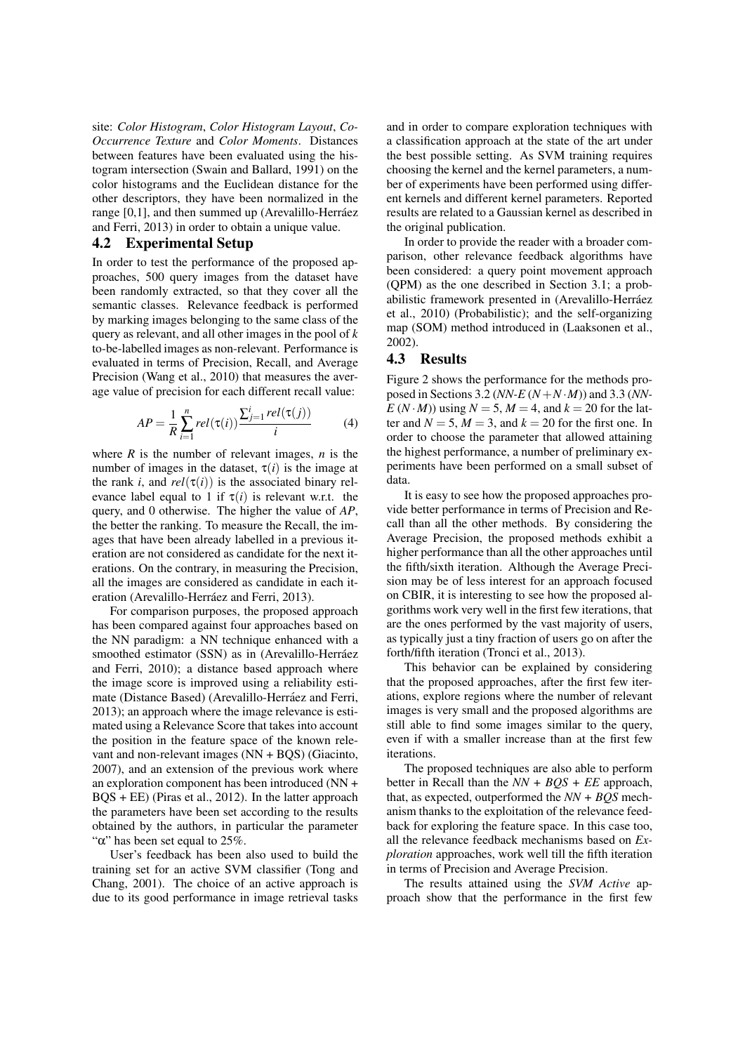site: *Color Histogram*, *Color Histogram Layout*, *Co-Occurrence Texture* and *Color Moments*. Distances between features have been evaluated using the histogram intersection (Swain and Ballard, 1991) on the color histograms and the Euclidean distance for the other descriptors, they have been normalized in the range  $[0,1]$ , and then summed up (Arevalillo-Herráez and Ferri, 2013) in order to obtain a unique value.

#### 4.2 Experimental Setup

In order to test the performance of the proposed approaches, 500 query images from the dataset have been randomly extracted, so that they cover all the semantic classes. Relevance feedback is performed by marking images belonging to the same class of the query as relevant, and all other images in the pool of *k* to-be-labelled images as non-relevant. Performance is evaluated in terms of Precision, Recall, and Average Precision (Wang et al., 2010) that measures the average value of precision for each different recall value:

$$
AP = \frac{1}{R} \sum_{i=1}^{n} rel(\tau(i)) \frac{\sum_{j=1}^{i} rel(\tau(j))}{i}
$$
 (4)

where  $R$  is the number of relevant images,  $n$  is the number of images in the dataset,  $\tau(i)$  is the image at the rank *i*, and  $rel(\tau(i))$  is the associated binary relevance label equal to 1 if  $\tau(i)$  is relevant w.r.t. the query, and 0 otherwise. The higher the value of *AP*, the better the ranking. To measure the Recall, the images that have been already labelled in a previous iteration are not considered as candidate for the next iterations. On the contrary, in measuring the Precision, all the images are considered as candidate in each iteration (Arevalillo-Herráez and Ferri, 2013).

For comparison purposes, the proposed approach has been compared against four approaches based on the NN paradigm: a NN technique enhanced with a smoothed estimator (SSN) as in (Arevalillo-Herráez and Ferri, 2010); a distance based approach where the image score is improved using a reliability estimate (Distance Based) (Arevalillo-Herráez and Ferri, 2013); an approach where the image relevance is estimated using a Relevance Score that takes into account the position in the feature space of the known relevant and non-relevant images (NN + BQS) (Giacinto, 2007), and an extension of the previous work where an exploration component has been introduced (NN + BQS + EE) (Piras et al., 2012). In the latter approach the parameters have been set according to the results obtained by the authors, in particular the parameter "α" has been set equal to 25%.

User's feedback has been also used to build the training set for an active SVM classifier (Tong and Chang, 2001). The choice of an active approach is due to its good performance in image retrieval tasks

and in order to compare exploration techniques with a classification approach at the state of the art under the best possible setting. As SVM training requires choosing the kernel and the kernel parameters, a number of experiments have been performed using different kernels and different kernel parameters. Reported results are related to a Gaussian kernel as described in the original publication.

In order to provide the reader with a broader comparison, other relevance feedback algorithms have been considered: a query point movement approach (QPM) as the one described in Section 3.1; a probabilistic framework presented in (Arevalillo-Herráez et al., 2010) (Probabilistic); and the self-organizing map (SOM) method introduced in (Laaksonen et al., 2002).

#### 4.3 Results

Figure 2 shows the performance for the methods proposed in Sections 3.2 (*NN-E* (*N*+*N*·*M*)) and 3.3 (*NN-* $E(N \cdot M)$ ) using  $N = 5$ ,  $M = 4$ , and  $k = 20$  for the latter and  $N = 5$ ,  $M = 3$ , and  $k = 20$  for the first one. In order to choose the parameter that allowed attaining the highest performance, a number of preliminary experiments have been performed on a small subset of data.

It is easy to see how the proposed approaches provide better performance in terms of Precision and Recall than all the other methods. By considering the Average Precision, the proposed methods exhibit a higher performance than all the other approaches until the fifth/sixth iteration. Although the Average Precision may be of less interest for an approach focused on CBIR, it is interesting to see how the proposed algorithms work very well in the first few iterations, that are the ones performed by the vast majority of users, as typically just a tiny fraction of users go on after the forth/fifth iteration (Tronci et al., 2013).

This behavior can be explained by considering that the proposed approaches, after the first few iterations, explore regions where the number of relevant images is very small and the proposed algorithms are still able to find some images similar to the query, even if with a smaller increase than at the first few iterations.

The proposed techniques are also able to perform better in Recall than the *NN + BQS + EE* approach, that, as expected, outperformed the *NN + BQS* mechanism thanks to the exploitation of the relevance feedback for exploring the feature space. In this case too, all the relevance feedback mechanisms based on *Exploration* approaches, work well till the fifth iteration in terms of Precision and Average Precision.

The results attained using the *SVM Active* approach show that the performance in the first few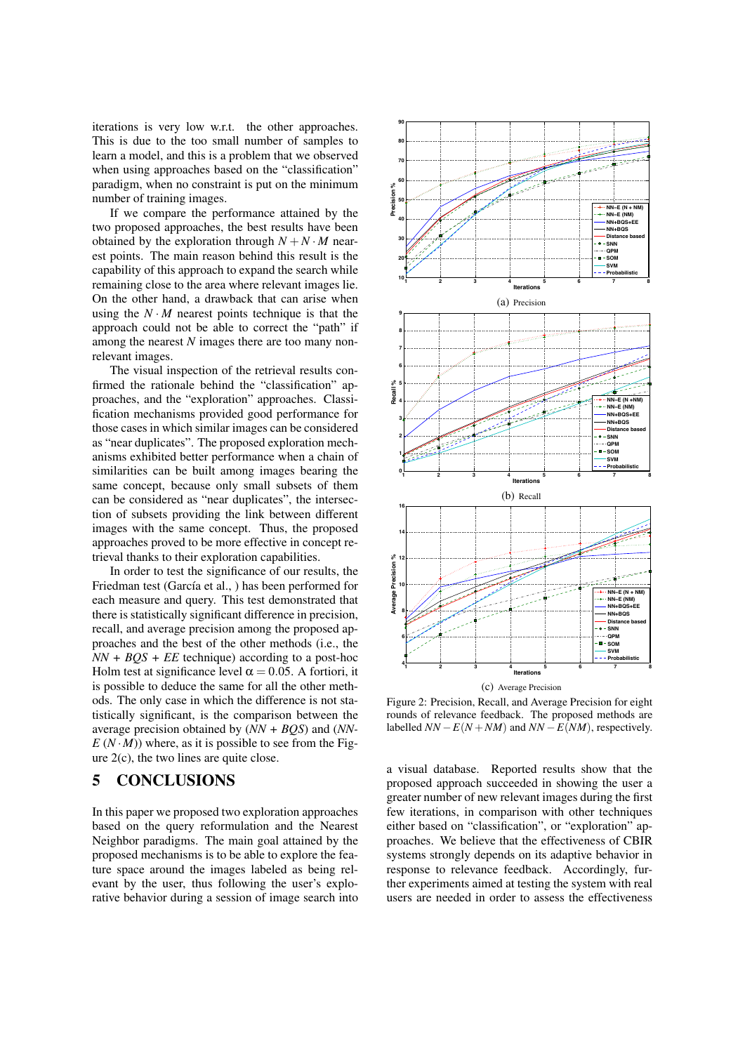iterations is very low w.r.t. the other approaches. This is due to the too small number of samples to learn a model, and this is a problem that we observed when using approaches based on the "classification" paradigm, when no constraint is put on the minimum number of training images.

If we compare the performance attained by the two proposed approaches, the best results have been obtained by the exploration through  $N + N \cdot M$  nearest points. The main reason behind this result is the capability of this approach to expand the search while remaining close to the area where relevant images lie. On the other hand, a drawback that can arise when using the  $N \cdot M$  nearest points technique is that the approach could not be able to correct the "path" if among the nearest *N* images there are too many nonrelevant images.

The visual inspection of the retrieval results confirmed the rationale behind the "classification" approaches, and the "exploration" approaches. Classification mechanisms provided good performance for those cases in which similar images can be considered as "near duplicates". The proposed exploration mechanisms exhibited better performance when a chain of similarities can be built among images bearing the same concept, because only small subsets of them can be considered as "near duplicates", the intersection of subsets providing the link between different images with the same concept. Thus, the proposed approaches proved to be more effective in concept retrieval thanks to their exploration capabilities.

In order to test the significance of our results, the Friedman test (García et al., ) has been performed for each measure and query. This test demonstrated that there is statistically significant difference in precision, recall, and average precision among the proposed approaches and the best of the other methods (i.e., the *NN + BQS + EE* technique) according to a post-hoc Holm test at significance level  $\alpha = 0.05$ . A fortiori, it is possible to deduce the same for all the other methods. The only case in which the difference is not statistically significant, is the comparison between the average precision obtained by (*NN + BQS*) and (*NN-* $E(N \cdot M)$ ) where, as it is possible to see from the Figure 2(c), the two lines are quite close.

### 5 CONCLUSIONS

In this paper we proposed two exploration approaches based on the query reformulation and the Nearest Neighbor paradigms. The main goal attained by the proposed mechanisms is to be able to explore the feature space around the images labeled as being relevant by the user, thus following the user's explorative behavior during a session of image search into



(c) Average Precision

Figure 2: Precision, Recall, and Average Precision for eight rounds of relevance feedback. The proposed methods are labelled  $NN - E(N + NM)$  and  $NN - E(NM)$ , respectively.

a visual database. Reported results show that the proposed approach succeeded in showing the user a greater number of new relevant images during the first few iterations, in comparison with other techniques either based on "classification", or "exploration" approaches. We believe that the effectiveness of CBIR systems strongly depends on its adaptive behavior in response to relevance feedback. Accordingly, further experiments aimed at testing the system with real users are needed in order to assess the effectiveness